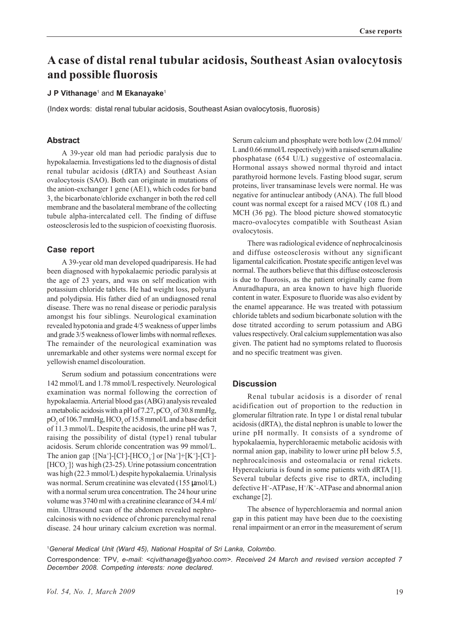# **A case of distal renal tubular acidosis, Southeast Asian ovalocytosis and possible fluorosis**

#### **J P Vithanage**<sup>1</sup> and **M Ekanayake**<sup>1</sup>

(Index words: distal renal tubular acidosis, Southeast Asian ovalocytosis, fluorosis)

#### **Abstract**

A 39-year old man had periodic paralysis due to hypokalaemia. Investigations led to the diagnosis of distal renal tubular acidosis (dRTA) and Southeast Asian ovalocytosis (SAO). Both can originate in mutations of the anion-exchanger 1 gene (AE1), which codes for band 3, the bicarbonate/chloride exchanger in both the red cell membrane and the basolateral membrane of the collecting tubule alpha-intercalated cell. The finding of diffuse osteosclerosis led to the suspicion of coexisting fluorosis.

## **Case report**

A 39-year old man developed quadriparesis. He had been diagnosed with hypokalaemic periodic paralysis at the age of 23 years, and was on self medication with potassium chloride tablets. He had weight loss, polyuria and polydipsia. His father died of an undiagnosed renal disease. There was no renal disease or periodic paralysis amongst his four siblings. Neurological examination revealed hypotonia and grade 4/5 weakness of upper limbs and grade 3/5 weakness of lower limbs with normal reflexes. The remainder of the neurological examination was unremarkable and other systems were normal except for yellowish enamel discolouration.

Serum sodium and potassium concentrations were 142 mmol/L and 1.78 mmol/L respectively. Neurological examination was normal following the correction of hypokalaemia. Arterial blood gas (ABG) analysis revealed a metabolic acidosis with a pH of 7.27,  $pCO_2$  of 30.8 mmHg,  $\rm{pO}_2$  of 106.7 mmHg, HCO<sub>3</sub> of 15.8 mmol/L and a base deficit of 11.3 mmol/L. Despite the acidosis, the urine pH was 7, raising the possibility of distal (type1) renal tubular acidosis. Serum chloride concentration was 99 mmol/L. The anion gap  $\{[Na^+] - [Cl^-] - [HCO_3^-] \text{ or } [Na^+] + [K^+] - [Cl^-]$ [HCO<sub>3</sub>]} was high (23-25). Urine potassium concentration was high (22.3 mmol/L) despite hypokalaemia. Urinalysis was normal. Serum creatinine was elevated (155 µmol/L) with a normal serum urea concentration. The 24 hour urine volume was 3740 ml with a creatinine clearance of 34.4 ml/ min. Ultrasound scan of the abdomen revealed nephrocalcinosis with no evidence of chronic parenchymal renal disease. 24 hour urinary calcium excretion was normal.

Serum calcium and phosphate were both low (2.04 mmol/ L and 0.66 mmol/L respectively) with a raised serum alkaline phosphatase (654 U/L) suggestive of osteomalacia. Hormonal assays showed normal thyroid and intact parathyroid hormone levels. Fasting blood sugar, serum proteins, liver transaminase levels were normal. He was negative for antinuclear antibody (ANA). The full blood count was normal except for a raised MCV (108 fL) and MCH (36 pg). The blood picture showed stomatocytic macro-ovalocytes compatible with Southeast Asian ovalocytosis.

There was radiological evidence of nephrocalcinosis and diffuse osteosclerosis without any significant ligamental calcification. Prostate specific antigen level was normal. The authors believe that this diffuse osteosclerosis is due to fluorosis, as the patient originally came from Anuradhapura, an area known to have high fluoride content in water. Exposure to fluoride was also evident by the enamel appearance. He was treated with potassium chloride tablets and sodium bicarbonate solution with the dose titrated according to serum potassium and ABG values respectively. Oral calcium supplementation was also given. The patient had no symptoms related to fluorosis and no specific treatment was given.

## **Discussion**

Renal tubular acidosis is a disorder of renal acidification out of proportion to the reduction in glomerular filtration rate. In type 1 or distal renal tubular acidosis (dRTA), the distal nephron is unable to lower the urine pH normally. It consists of a syndrome of hypokalaemia, hyperchloraemic metabolic acidosis with normal anion gap, inability to lower urine pH below 5.5, nephrocalcinosis and osteomalacia or renal rickets. Hypercalciuria is found in some patients with dRTA [1]. Several tubular defects give rise to dRTA, including defective H<sup>+</sup>-ATPase, H<sup>+</sup>/K<sup>+</sup>-ATPase and abnormal anion exchange [2].

The absence of hyperchloraemia and normal anion gap in this patient may have been due to the coexisting renal impairment or an error in the measurement of serum

1 *General Medical Unit (Ward 45), National Hospital of Sri Lanka, Colombo.*

Correspondence: TPV*, e-mail: <cjvithanage@yahoo.com>. Received 24 March and revised version accepted 7 December 2008. Competing interests: none declared.*